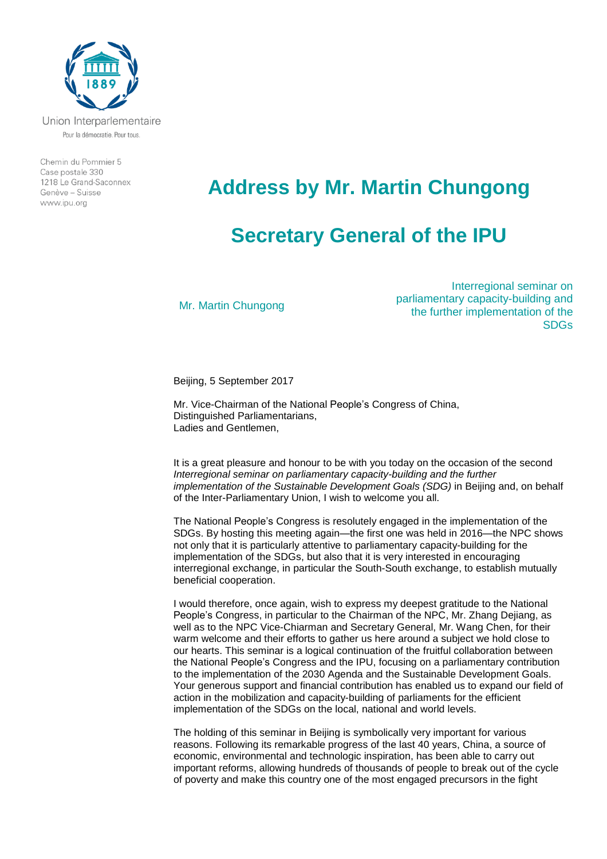

Chemin du Pommier 5 Case postale 330 1218 Le Grand-Saconnex Genève - Suisse www.ipu.org

## **Address by Mr. Martin Chungong**

## **Secretary General of the IPU**

Mr. Martin Chungong

Interregional seminar on parliamentary capacity-building and the further implementation of the SDGs

Beijing, 5 September 2017

Mr. Vice-Chairman of the National People's Congress of China, Distinguished Parliamentarians, Ladies and Gentlemen,

It is a great pleasure and honour to be with you today on the occasion of the second *Interregional seminar on parliamentary capacity-building and the further implementation of the Sustainable Development Goals (SDG)* in Beijing and, on behalf of the Inter-Parliamentary Union, I wish to welcome you all.

The National People's Congress is resolutely engaged in the implementation of the SDGs. By hosting this meeting again—the first one was held in 2016—the NPC shows not only that it is particularly attentive to parliamentary capacity-building for the implementation of the SDGs, but also that it is very interested in encouraging interregional exchange, in particular the South-South exchange, to establish mutually beneficial cooperation.

I would therefore, once again, wish to express my deepest gratitude to the National People's Congress, in particular to the Chairman of the NPC, Mr. Zhang Dejiang, as well as to the NPC Vice-Chiarman and Secretary General, Mr. Wang Chen, for their warm welcome and their efforts to gather us here around a subject we hold close to our hearts. This seminar is a logical continuation of the fruitful collaboration between the National People's Congress and the IPU, focusing on a parliamentary contribution to the implementation of the 2030 Agenda and the Sustainable Development Goals. Your generous support and financial contribution has enabled us to expand our field of action in the mobilization and capacity-building of parliaments for the efficient implementation of the SDGs on the local, national and world levels.

The holding of this seminar in Beijing is symbolically very important for various reasons. Following its remarkable progress of the last 40 years, China, a source of economic, environmental and technologic inspiration, has been able to carry out important reforms, allowing hundreds of thousands of people to break out of the cycle of poverty and make this country one of the most engaged precursors in the fight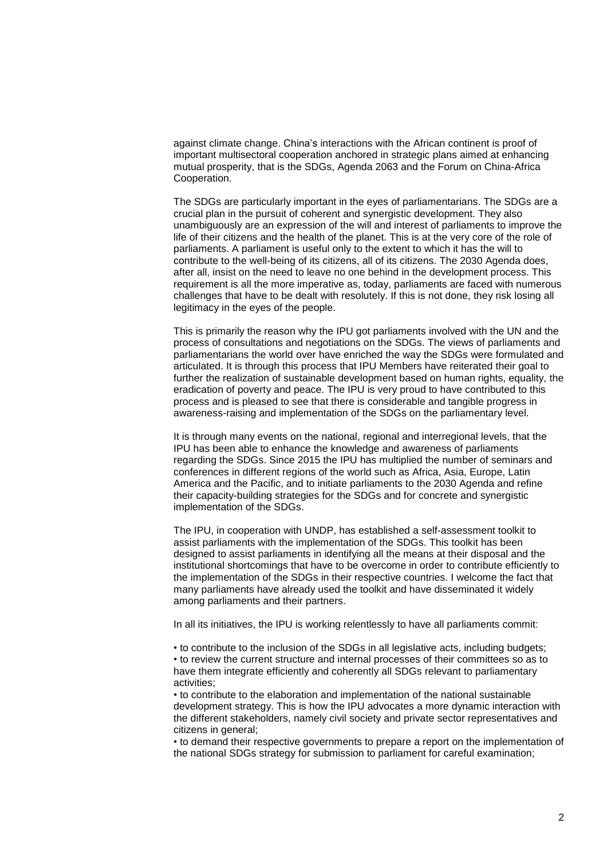against climate change. China's interactions with the African continent is proof of important multisectoral cooperation anchored in strategic plans aimed at enhancing mutual prosperity, that is the SDGs, Agenda 2063 and the Forum on China-Africa Cooperation.

The SDGs are particularly important in the eyes of parliamentarians. The SDGs are a crucial plan in the pursuit of coherent and synergistic development. They also unambiguously are an expression of the will and interest of parliaments to improve the life of their citizens and the health of the planet. This is at the very core of the role of parliaments. A parliament is useful only to the extent to which it has the will to contribute to the well-being of its citizens, all of its citizens. The 2030 Agenda does, after all, insist on the need to leave no one behind in the development process. This requirement is all the more imperative as, today, parliaments are faced with numerous challenges that have to be dealt with resolutely. If this is not done, they risk losing all legitimacy in the eyes of the people.

This is primarily the reason why the IPU got parliaments involved with the UN and the process of consultations and negotiations on the SDGs. The views of parliaments and parliamentarians the world over have enriched the way the SDGs were formulated and articulated. It is through this process that IPU Members have reiterated their goal to further the realization of sustainable development based on human rights, equality, the eradication of poverty and peace. The IPU is very proud to have contributed to this process and is pleased to see that there is considerable and tangible progress in awareness-raising and implementation of the SDGs on the parliamentary level.

It is through many events on the national, regional and interregional levels, that the IPU has been able to enhance the knowledge and awareness of parliaments regarding the SDGs. Since 2015 the IPU has multiplied the number of seminars and conferences in different regions of the world such as Africa, Asia, Europe, Latin America and the Pacific, and to initiate parliaments to the 2030 Agenda and refine their capacity-building strategies for the SDGs and for concrete and synergistic implementation of the SDGs.

The IPU, in cooperation with UNDP, has established a self-assessment toolkit to assist parliaments with the implementation of the SDGs. This toolkit has been designed to assist parliaments in identifying all the means at their disposal and the institutional shortcomings that have to be overcome in order to contribute efficiently to the implementation of the SDGs in their respective countries. I welcome the fact that many parliaments have already used the toolkit and have disseminated it widely among parliaments and their partners.

In all its initiatives, the IPU is working relentlessly to have all parliaments commit:

• to contribute to the inclusion of the SDGs in all legislative acts, including budgets; • to review the current structure and internal processes of their committees so as to have them integrate efficiently and coherently all SDGs relevant to parliamentary activities;

• to contribute to the elaboration and implementation of the national sustainable development strategy. This is how the IPU advocates a more dynamic interaction with the different stakeholders, namely civil society and private sector representatives and citizens in general;

• to demand their respective governments to prepare a report on the implementation of the national SDGs strategy for submission to parliament for careful examination;